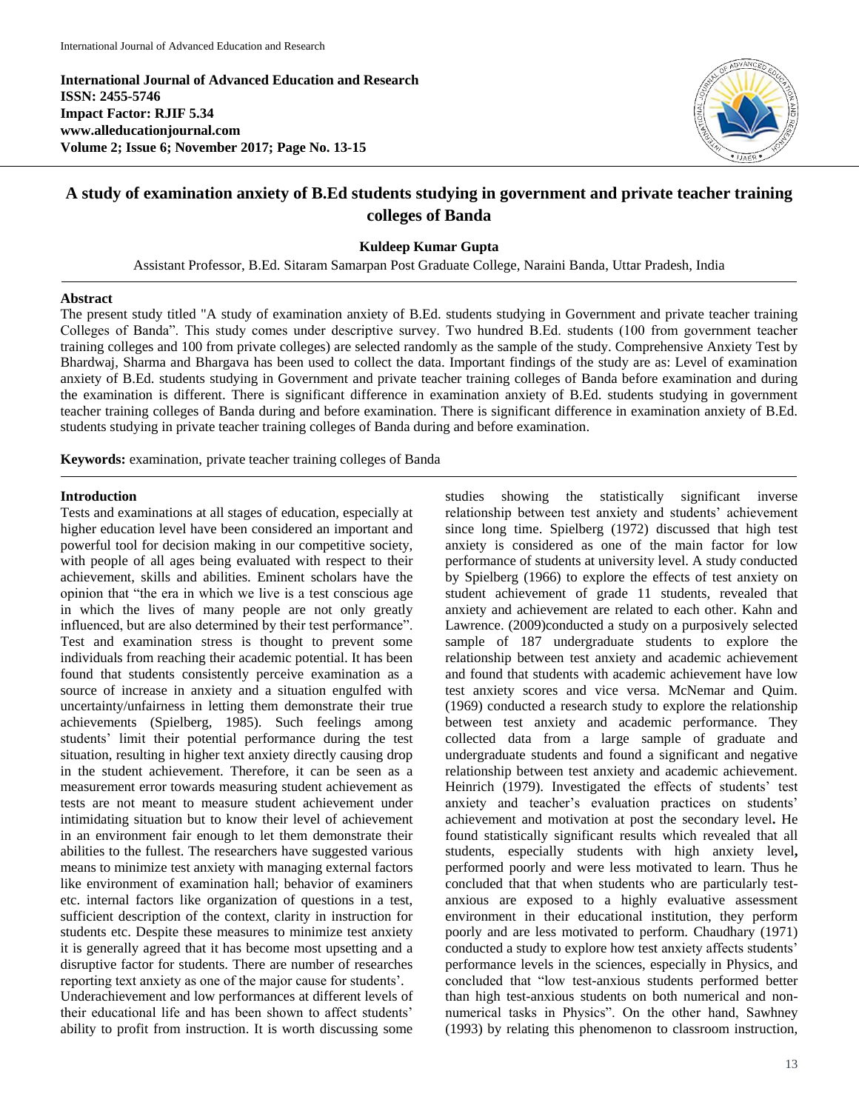**International Journal of Advanced Education and Research ISSN: 2455-5746 Impact Factor: RJIF 5.34 www.alleducationjournal.com Volume 2; Issue 6; November 2017; Page No. 13-15**



# **A study of examination anxiety of B.Ed students studying in government and private teacher training colleges of Banda**

### **Kuldeep Kumar Gupta**

Assistant Professor, B.Ed. Sitaram Samarpan Post Graduate College, Naraini Banda, Uttar Pradesh, India

#### **Abstract**

The present study titled "A study of examination anxiety of B.Ed. students studying in Government and private teacher training Colleges of Banda". This study comes under descriptive survey. Two hundred B.Ed. students (100 from government teacher training colleges and 100 from private colleges) are selected randomly as the sample of the study. Comprehensive Anxiety Test by Bhardwaj, Sharma and Bhargava has been used to collect the data. Important findings of the study are as: Level of examination anxiety of B.Ed. students studying in Government and private teacher training colleges of Banda before examination and during the examination is different. There is significant difference in examination anxiety of B.Ed. students studying in government teacher training colleges of Banda during and before examination. There is significant difference in examination anxiety of B.Ed. students studying in private teacher training colleges of Banda during and before examination.

**Keywords:** examination, private teacher training colleges of Banda

#### **Introduction**

Tests and examinations at all stages of education, especially at higher education level have been considered an important and powerful tool for decision making in our competitive society, with people of all ages being evaluated with respect to their achievement, skills and abilities. Eminent scholars have the opinion that "the era in which we live is a test conscious age in which the lives of many people are not only greatly influenced, but are also determined by their test performance". Test and examination stress is thought to prevent some individuals from reaching their academic potential. It has been found that students consistently perceive examination as a source of increase in anxiety and a situation engulfed with uncertainty/unfairness in letting them demonstrate their true achievements (Spielberg, 1985). Such feelings among students' limit their potential performance during the test situation, resulting in higher text anxiety directly causing drop in the student achievement. Therefore, it can be seen as a measurement error towards measuring student achievement as tests are not meant to measure student achievement under intimidating situation but to know their level of achievement in an environment fair enough to let them demonstrate their abilities to the fullest. The researchers have suggested various means to minimize test anxiety with managing external factors like environment of examination hall; behavior of examiners etc. internal factors like organization of questions in a test, sufficient description of the context, clarity in instruction for students etc. Despite these measures to minimize test anxiety it is generally agreed that it has become most upsetting and a disruptive factor for students. There are number of researches reporting text anxiety as one of the major cause for students'. Underachievement and low performances at different levels of their educational life and has been shown to affect students' ability to profit from instruction. It is worth discussing some

studies showing the statistically significant inverse relationship between test anxiety and students' achievement since long time. Spielberg (1972) discussed that high test anxiety is considered as one of the main factor for low performance of students at university level. A study conducted by Spielberg (1966) to explore the effects of test anxiety on student achievement of grade 11 students, revealed that anxiety and achievement are related to each other. Kahn and Lawrence. (2009)conducted a study on a purposively selected sample of 187 undergraduate students to explore the relationship between test anxiety and academic achievement and found that students with academic achievement have low test anxiety scores and vice versa. McNemar and Quim. (1969) conducted a research study to explore the relationship between test anxiety and academic performance. They collected data from a large sample of graduate and undergraduate students and found a significant and negative relationship between test anxiety and academic achievement. Heinrich (1979). Investigated the effects of students' test anxiety and teacher's evaluation practices on students' achievement and motivation at post the secondary level**.** He found statistically significant results which revealed that all students, especially students with high anxiety level**,**  performed poorly and were less motivated to learn. Thus he concluded that that when students who are particularly testanxious are exposed to a highly evaluative assessment environment in their educational institution, they perform poorly and are less motivated to perform. Chaudhary (1971) conducted a study to explore how test anxiety affects students' performance levels in the sciences, especially in Physics, and concluded that "low test-anxious students performed better than high test-anxious students on both numerical and nonnumerical tasks in Physics". On the other hand, Sawhney (1993) by relating this phenomenon to classroom instruction,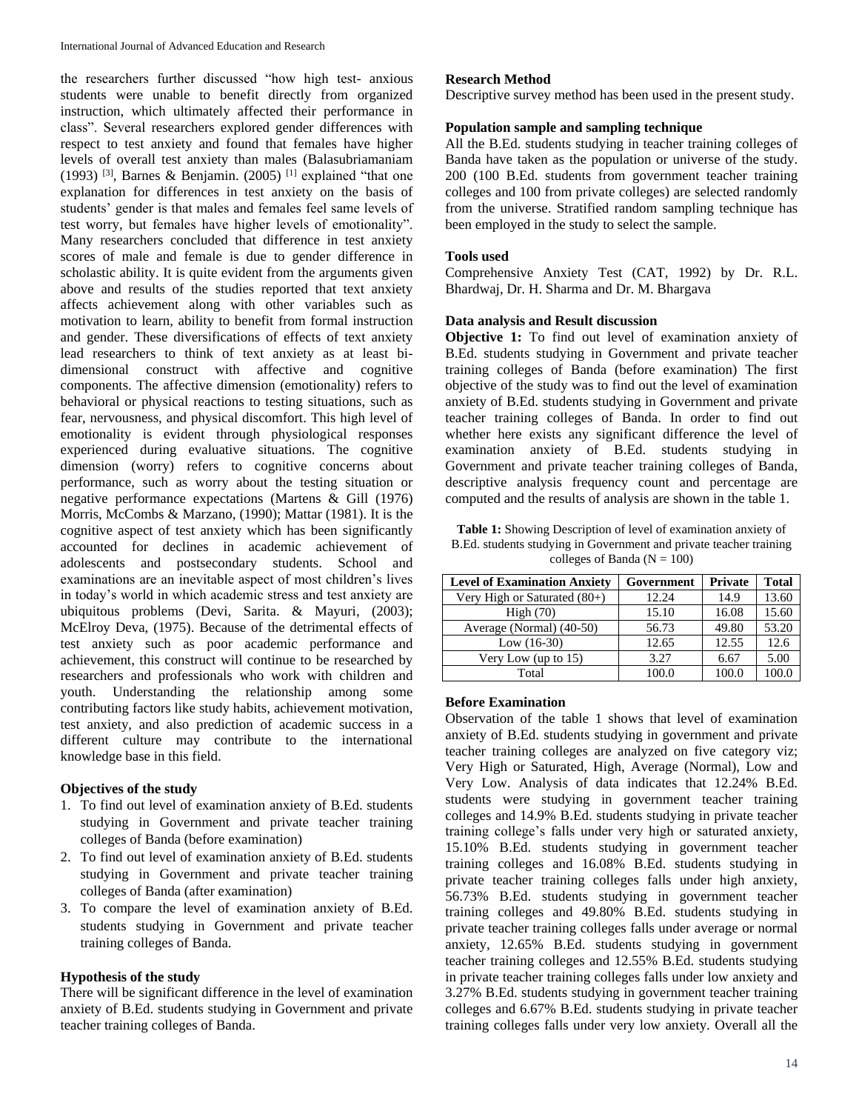the researchers further discussed "how high test- anxious students were unable to benefit directly from organized instruction, which ultimately affected their performance in class". Several researchers explored gender differences with respect to test anxiety and found that females have higher levels of overall test anxiety than males (Balasubriamaniam (1993)<sup>[3]</sup>, Barnes & Benjamin. (2005)<sup>[1]</sup> explained "that one explanation for differences in test anxiety on the basis of students' gender is that males and females feel same levels of test worry, but females have higher levels of emotionality". Many researchers concluded that difference in test anxiety scores of male and female is due to gender difference in scholastic ability. It is quite evident from the arguments given above and results of the studies reported that text anxiety affects achievement along with other variables such as motivation to learn, ability to benefit from formal instruction and gender. These diversifications of effects of text anxiety lead researchers to think of text anxiety as at least bidimensional construct with affective and cognitive components. The affective dimension (emotionality) refers to behavioral or physical reactions to testing situations, such as fear, nervousness, and physical discomfort. This high level of emotionality is evident through physiological responses experienced during evaluative situations. The cognitive dimension (worry) refers to cognitive concerns about performance, such as worry about the testing situation or negative performance expectations (Martens & Gill (1976) Morris, McCombs & Marzano, (1990); Mattar (1981). It is the cognitive aspect of test anxiety which has been significantly accounted for declines in academic achievement of adolescents and postsecondary students. School and examinations are an inevitable aspect of most children's lives in today's world in which academic stress and test anxiety are ubiquitous problems (Devi, Sarita. & Mayuri, (2003); McElroy Deva, (1975). Because of the detrimental effects of test anxiety such as poor academic performance and achievement, this construct will continue to be researched by researchers and professionals who work with children and youth. Understanding the relationship among some contributing factors like study habits, achievement motivation, test anxiety, and also prediction of academic success in a different culture may contribute to the international knowledge base in this field.

### **Objectives of the study**

- 1. To find out level of examination anxiety of B.Ed. students studying in Government and private teacher training colleges of Banda (before examination)
- 2. To find out level of examination anxiety of B.Ed. students studying in Government and private teacher training colleges of Banda (after examination)
- 3. To compare the level of examination anxiety of B.Ed. students studying in Government and private teacher training colleges of Banda.

### **Hypothesis of the study**

There will be significant difference in the level of examination anxiety of B.Ed. students studying in Government and private teacher training colleges of Banda.

### **Research Method**

Descriptive survey method has been used in the present study.

### **Population sample and sampling technique**

All the B.Ed. students studying in teacher training colleges of Banda have taken as the population or universe of the study. 200 (100 B.Ed. students from government teacher training colleges and 100 from private colleges) are selected randomly from the universe. Stratified random sampling technique has been employed in the study to select the sample.

# **Tools used**

Comprehensive Anxiety Test (CAT, 1992) by Dr. R.L. Bhardwaj, Dr. H. Sharma and Dr. M. Bhargava

## **Data analysis and Result discussion**

**Objective 1:** To find out level of examination anxiety of B.Ed. students studying in Government and private teacher training colleges of Banda (before examination) The first objective of the study was to find out the level of examination anxiety of B.Ed. students studying in Government and private teacher training colleges of Banda. In order to find out whether here exists any significant difference the level of examination anxiety of B.Ed. students studying in Government and private teacher training colleges of Banda, descriptive analysis frequency count and percentage are computed and the results of analysis are shown in the table 1.

**Table 1:** Showing Description of level of examination anxiety of B.Ed. students studying in Government and private teacher training colleges of Banda ( $N = 100$ )

| <b>Level of Examination Anxiety</b> | Government | <b>Private</b> | <b>Total</b> |
|-------------------------------------|------------|----------------|--------------|
| Very High or Saturated $(80+)$      | 12.24      | 14.9           | 13.60        |
| High(70)                            | 15.10      | 16.08          | 15.60        |
| Average (Normal) (40-50)            | 56.73      | 49.80          | 53.20        |
| Low $(16-30)$                       | 12.65      | 12.55          | 12.6         |
| Very Low (up to $15$ )              | 3.27       | 6.67           | 5.00         |
| Total                               | 100.0      | 100.0          |              |

### **Before Examination**

Observation of the table 1 shows that level of examination anxiety of B.Ed. students studying in government and private teacher training colleges are analyzed on five category viz; Very High or Saturated, High, Average (Normal), Low and Very Low. Analysis of data indicates that 12.24% B.Ed. students were studying in government teacher training colleges and 14.9% B.Ed. students studying in private teacher training college's falls under very high or saturated anxiety, 15.10% B.Ed. students studying in government teacher training colleges and 16.08% B.Ed. students studying in private teacher training colleges falls under high anxiety, 56.73% B.Ed. students studying in government teacher training colleges and 49.80% B.Ed. students studying in private teacher training colleges falls under average or normal anxiety, 12.65% B.Ed. students studying in government teacher training colleges and 12.55% B.Ed. students studying in private teacher training colleges falls under low anxiety and 3.27% B.Ed. students studying in government teacher training colleges and 6.67% B.Ed. students studying in private teacher training colleges falls under very low anxiety. Overall all the